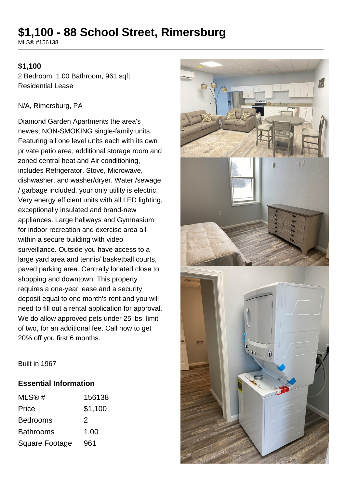# **\$1,100 - 88 School Street, Rimersburg**

MLS® #156138

#### **\$1,100**

2 Bedroom, 1.00 Bathroom, 961 sqft Residential Lease

#### N/A, Rimersburg, PA

Diamond Garden Apartments the area's newest NON-SMOKING single-family units. Featuring all one level units each with its own private patio area, additional storage room and zoned central heat and Air conditioning, includes Refrigerator, Stove, Microwave, dishwasher, and washer/dryer. Water /sewage / garbage included. your only utility is electric. Very energy efficient units with all LED lighting, exceptionally insulated and brand-new appliances. Large hallways and Gymnasium for indoor recreation and exercise area all within a secure building with video surveillance. Outside you have access to a large yard area and tennis/ basketball courts, paved parking area. Centrally located close to shopping and downtown. This property requires a one-year lease and a security deposit equal to one month's rent and you will need to fill out a rental application for approval. We do allow approved pets under 25 lbs. limit of two, for an additional fee. Call now to get 20% off you first 6 months.



Built in 1967

#### **Essential Information**

| MLS@#                 | 156138  |
|-----------------------|---------|
| Price                 | \$1,100 |
| <b>Bedrooms</b>       | 2       |
| <b>Bathrooms</b>      | 1.00    |
| <b>Square Footage</b> | 961     |